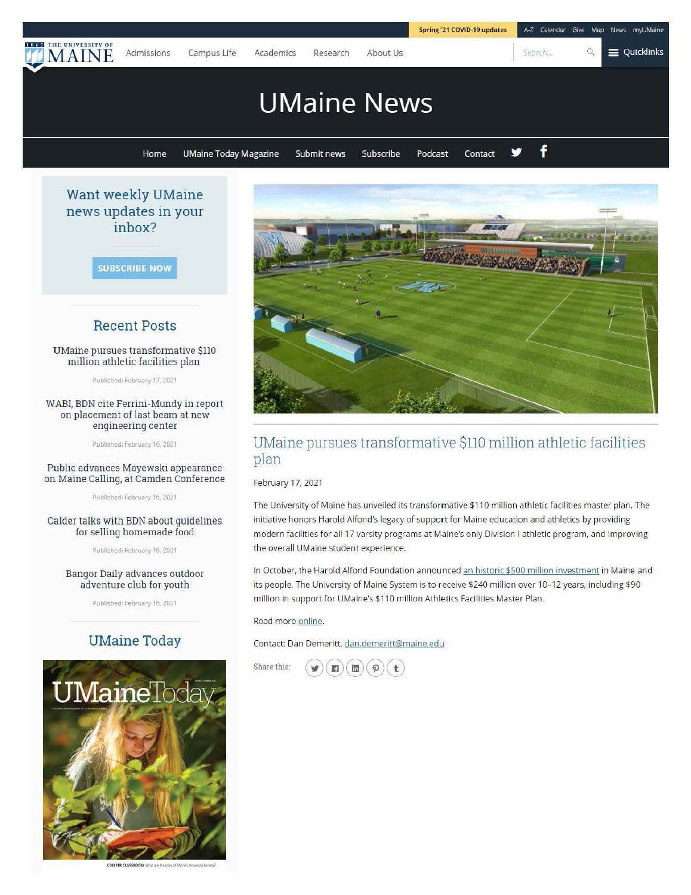